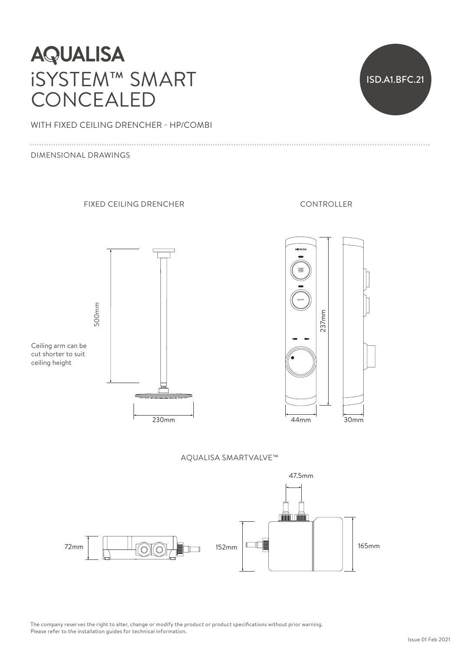# **AQUALISA** iSYSTEM™ SMART CONCEALED



WITH FIXED CEILING DRENCHER - HP/COMBI

#### DIMENSIONAL DRAWINGS



Ceiling arm can be cut shorter to suit ceiling height

500mm 500mm



FIXED CEILING DRENCHER CONTROLLER



AQUALISA SMARTVALVE™



The company reserves the right to alter, change or modify the product or product specifications without prior warning.<br>Please refer to the installation guides for technical information. Please refer to the installation guides for technical information. reser<br>o the